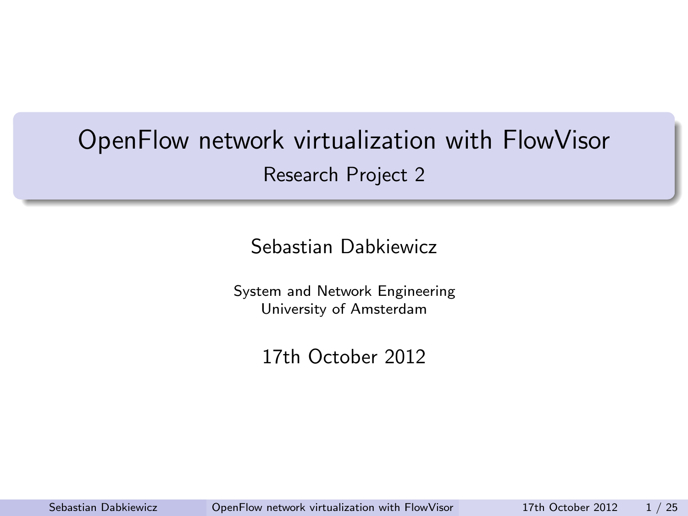# OpenFlow network virtualization with FlowVisor Research Project 2

Sebastian Dabkiewicz

System and Network Engineering University of Amsterdam

<span id="page-0-0"></span>17th October 2012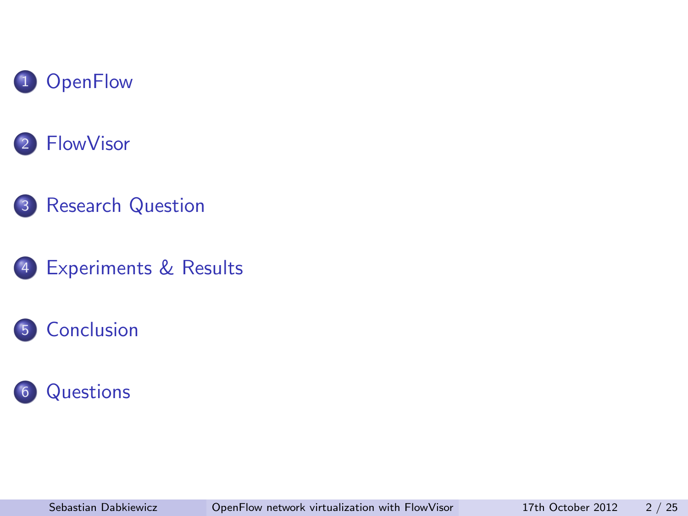



- [Research Question](#page-11-0)
- [Experiments & Results](#page-12-0)

### [Conclusion](#page-23-0)

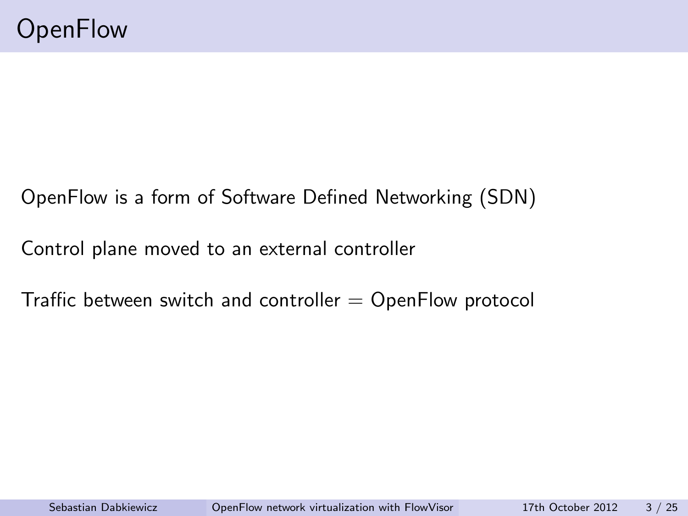### OpenFlow is a form of Software Defined Networking (SDN)

Control plane moved to an external controller

<span id="page-2-0"></span>Traffic between switch and controller  $=$  OpenFlow protocol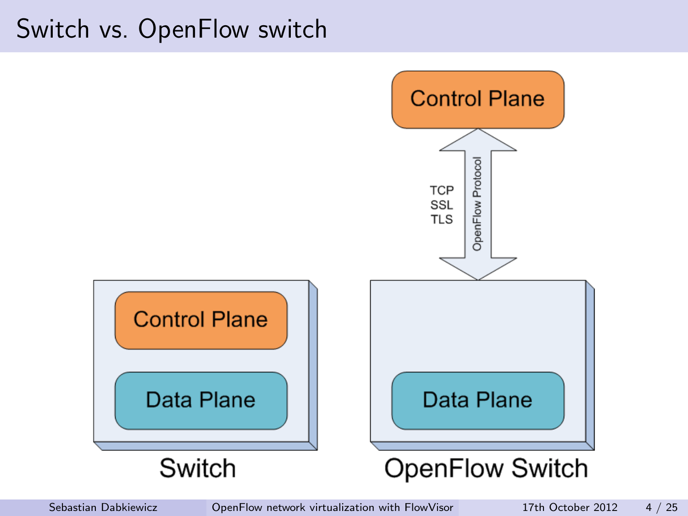## Switch vs. OpenFlow switch

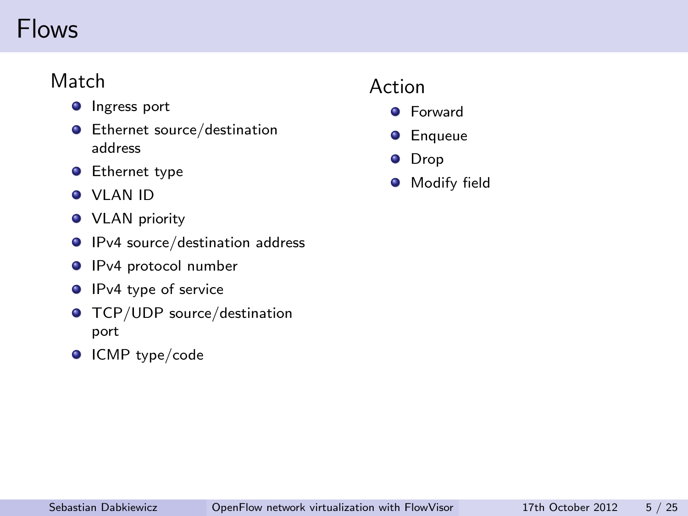# Flows

### Match

- **O** Ingress port
- **•** Ethernet source/destination address
- **•** Ethernet type
- VLAN ID
- **•** VLAN priority
- **O** IPv4 source/destination address
- **IPv4** protocol number
- **IPv4** type of service
- **O** TCP/UDP source/destination port
- **O** ICMP type/code

### Action

- **O** Forward
- **O** Enqueue
- **O** Drop
- **O** Modify field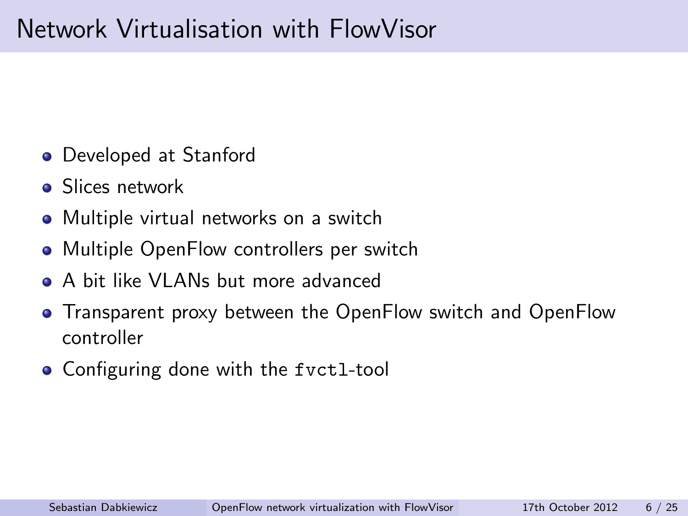# Network Virtualisation with FlowVisor

- Developed at Stanford
- **•** Slices network
- Multiple virtual networks on a switch
- Multiple OpenFlow controllers per switch
- A bit like VLANs but more advanced
- Transparent proxy between the OpenFlow switch and OpenFlow controller
- <span id="page-5-0"></span>• Configuring done with the fvct1-tool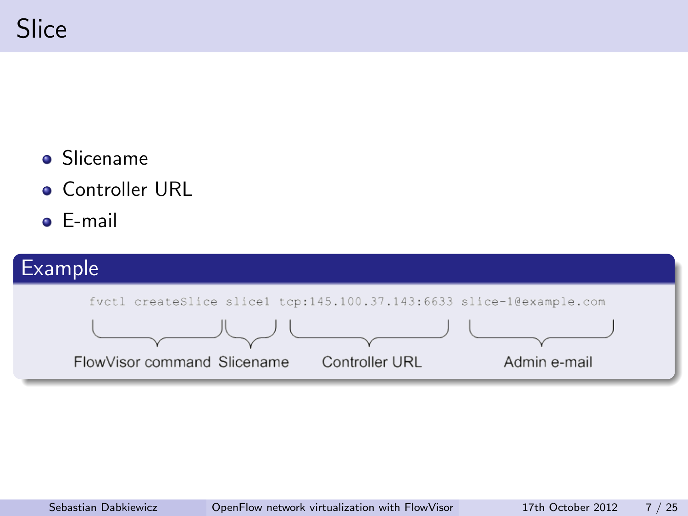- **•** Slicename
- **Controller URL**
- E-mail

### Example

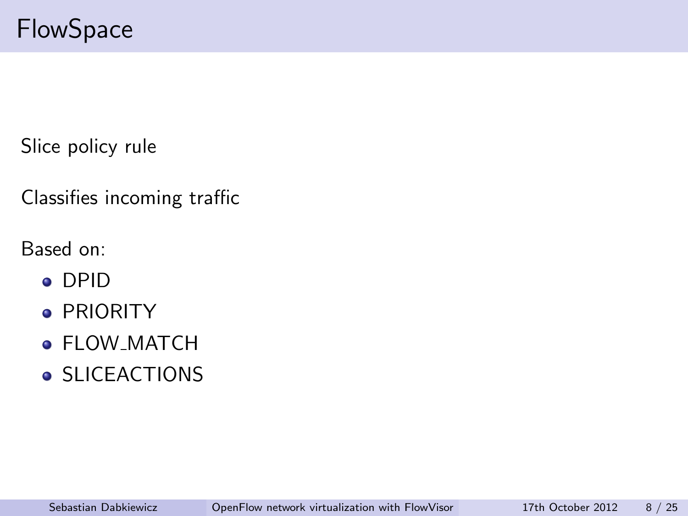Slice policy rule

Classifies incoming traffic

Based on:

- DPID
- **PRIORITY**
- FLOW\_MATCH
- **SLICEACTIONS**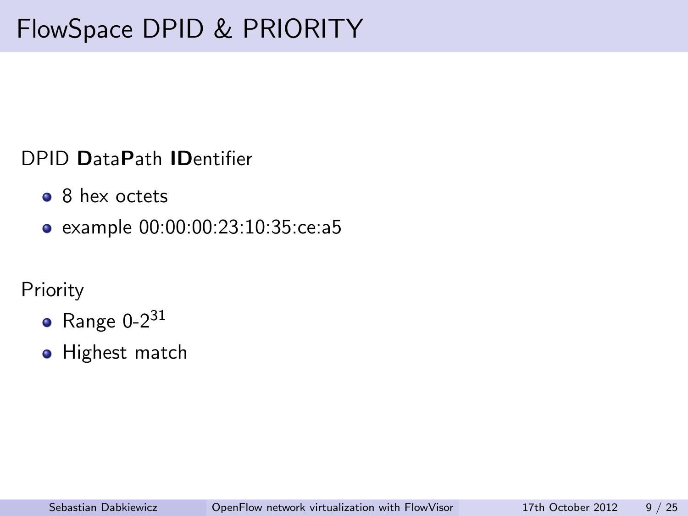### DPID DataPath IDentifier

- <sup>8</sup> 8 hex octets
- example 00:00:00:23:10:35:ce:a5

### **Priority**

- $\bullet$  Range 0-2 $31$
- **•** Highest match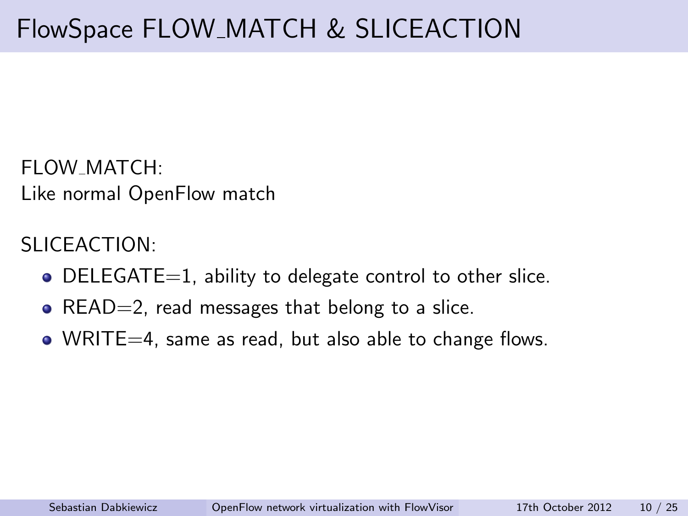FLOW MATCH: Like normal OpenFlow match

SLICEACTION:

- $\bullet$  DELEGATE=1, ability to delegate control to other slice.
- $READ=2$ , read messages that belong to a slice.
- WRITE=4, same as read, but also able to change flows.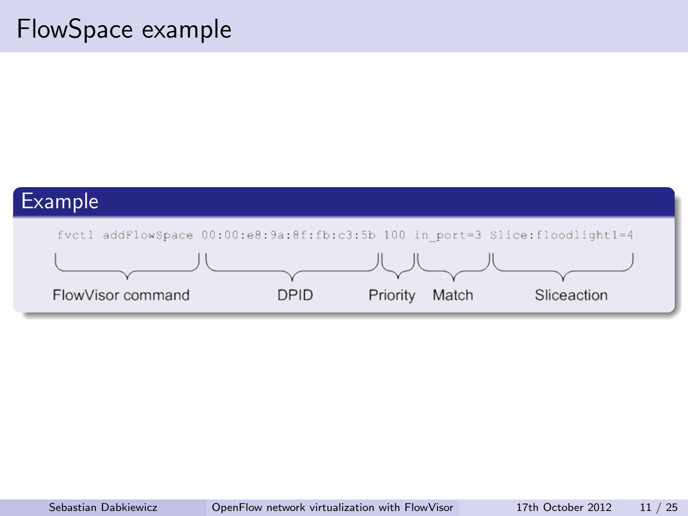# FlowSpace example

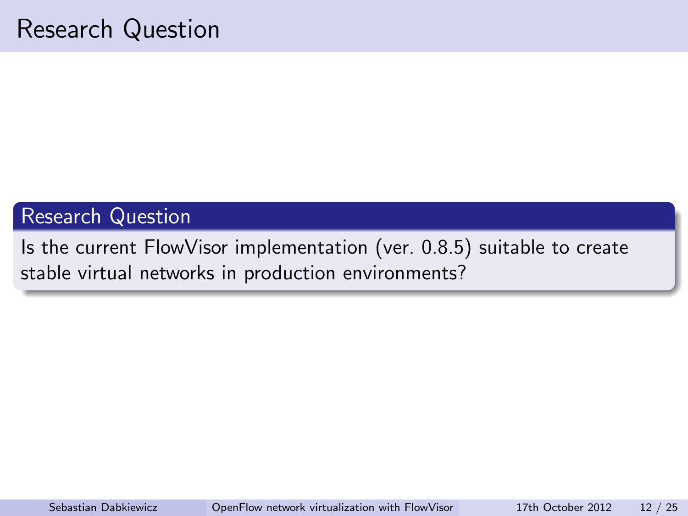### Research Question

<span id="page-11-0"></span>Is the current FlowVisor implementation (ver. 0.8.5) suitable to create stable virtual networks in production environments?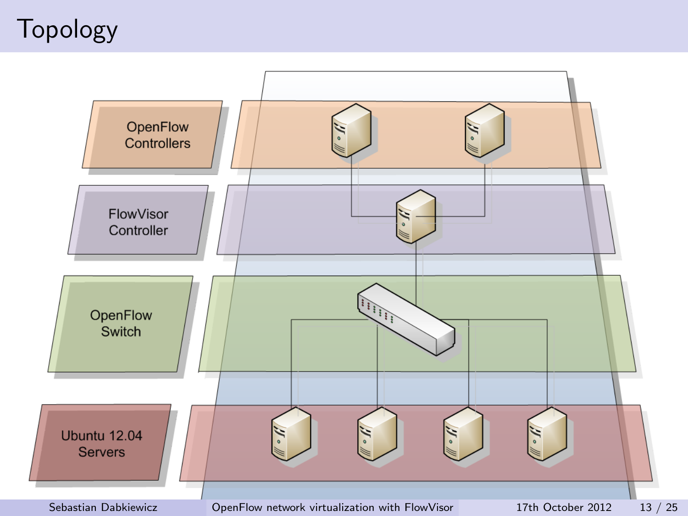# Topology

<span id="page-12-0"></span>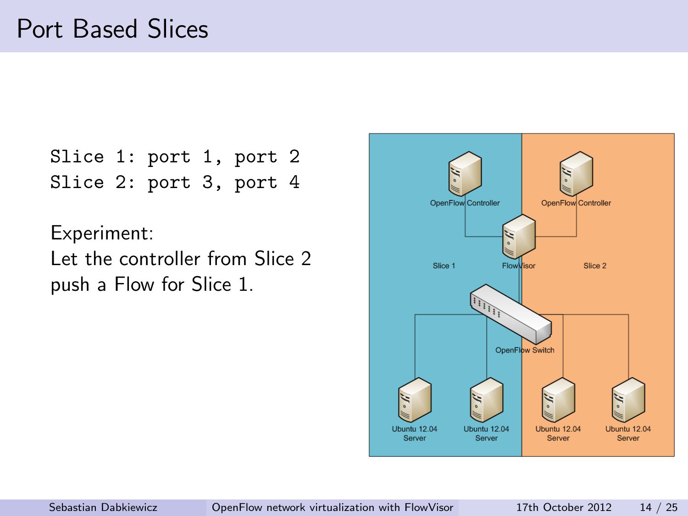```
Slice 1: port 1, port 2
Slice 2: port 3, port 4
```
Experiment:

Let the controller from Slice 2 push a Flow for Slice 1.

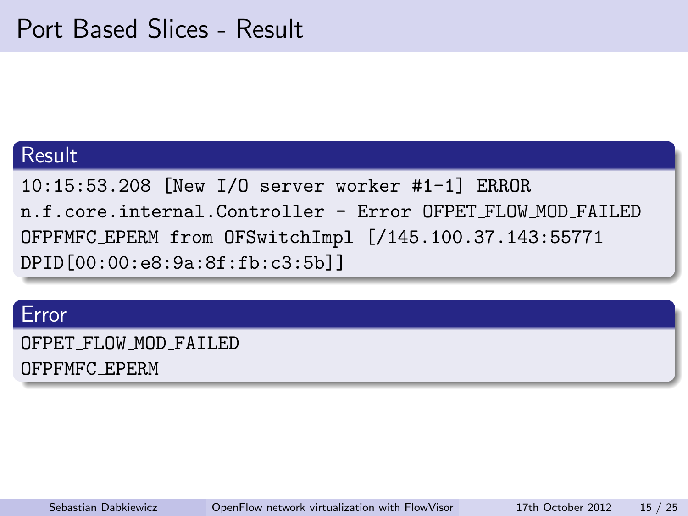#### Result

10:15:53.208 [New I/O server worker #1-1] ERROR n.f.core.internal.Controller - Error OFPET FLOW MOD FAILED OFPFMFC EPERM from OFSwitchImpl [/145.100.37.143:55771 DPID[00:00:e8:9a:8f:fb:c3:5b]]

#### Error

OFPET FLOW MOD FAILED

OFPFMFC EPERM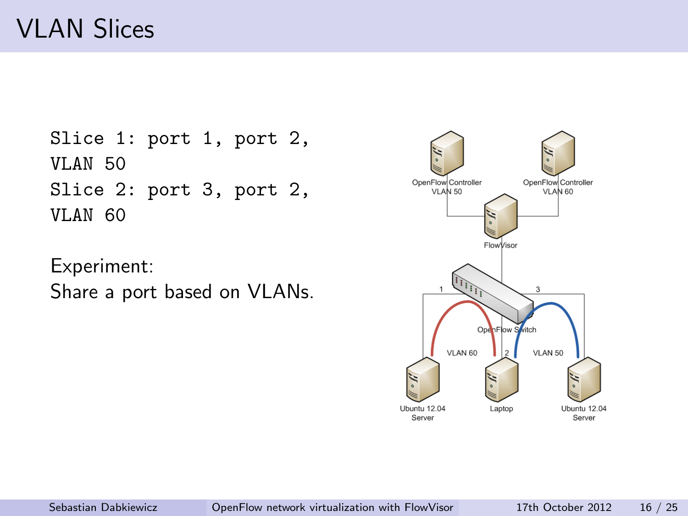# VLAN Slices

```
Slice 1: port 1, port 2,
VLAN 50
Slice 2: port 3, port 2,
VLAN 60
```
Experiment: Share a port based on VLANs.

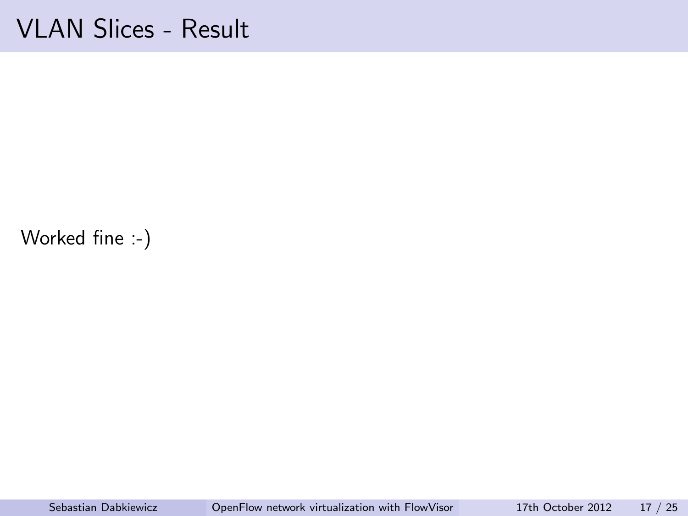## VLAN Slices - Result

Worked fine :-)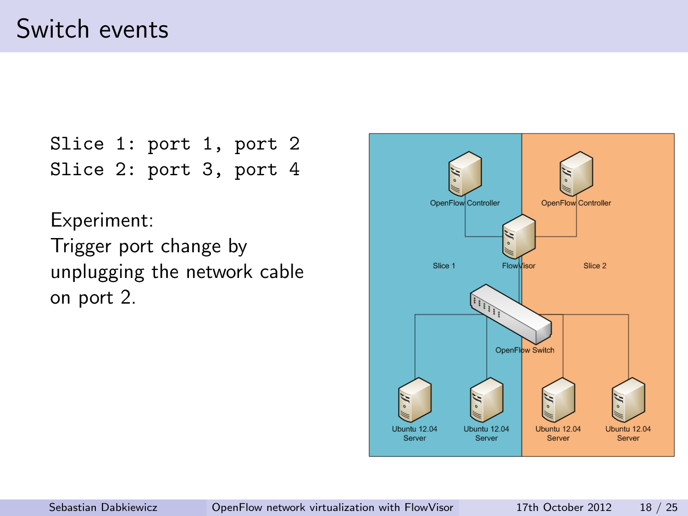# Switch events

Slice 1: port 1, port 2 Slice 2: port 3, port 4

Experiment: Trigger port change by unplugging the network cable on port 2.

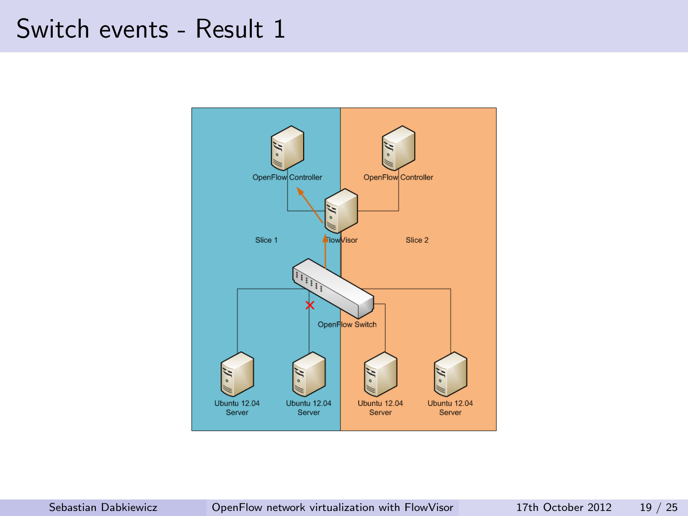## Switch events - Result 1

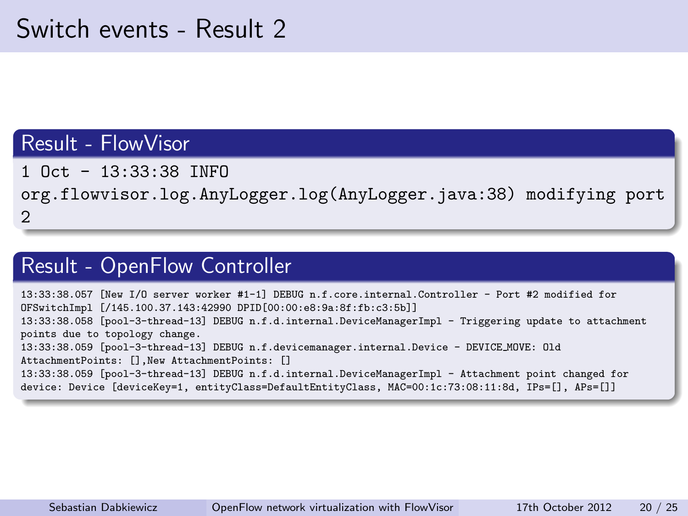### Result - FlowVisor

1 Oct - 13:33:38 INFO

org.flowvisor.log.AnyLogger.log(AnyLogger.java:38) modifying port 2

### Result - OpenFlow Controller

13:33:38.057 [New I/O server worker #1-1] DEBUG n.f.core.internal.Controller - Port #2 modified for OFSwitchImpl [/145.100.37.143:42990 DPID[00:00:e8:9a:8f:fb:c3:5b]] 13:33:38.058 [pool-3-thread-13] DEBUG n.f.d.internal.DeviceManagerImpl - Triggering update to attachment points due to topology change. 13:33:38.059 [pool-3-thread-13] DEBUG n.f.devicemanager.internal.Device - DEVICE MOVE: Old AttachmentPoints: [],New AttachmentPoints: [] 13:33:38.059 [pool-3-thread-13] DEBUG n.f.d.internal.DeviceManagerImpl - Attachment point changed for device: Device [deviceKey=1, entityClass=DefaultEntityClass, MAC=00:1c:73:08:11:8d, IPs=[], APs=[]]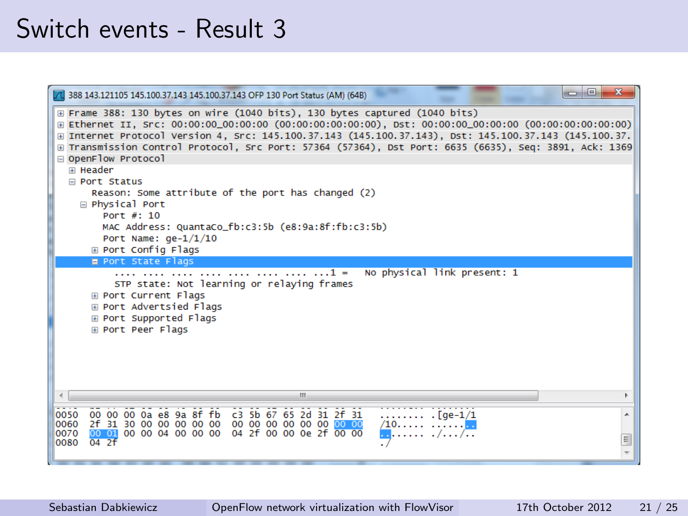## Switch events - Result 3

| 7 388 143.121105 145.100.37.143 145.100.37.143 OFP 130 Port Status (AM) (64B)                                                                                                                                                                                                                                                                                                                                              | $\Box$<br>$\chi$<br>$\blacksquare$ |
|----------------------------------------------------------------------------------------------------------------------------------------------------------------------------------------------------------------------------------------------------------------------------------------------------------------------------------------------------------------------------------------------------------------------------|------------------------------------|
| E Frame 388: 130 bytes on wire (1040 bits), 130 bytes captured (1040 bits)<br>⊞ Ethernet II, Src: 00:00:00_00:00:00 (00:00:00:00:00:00), Dst: 00:00:00_00:00:00 (00:00:00:00:00:00)<br>⊞ Internet Protocol Version 4, Src: 145.100.37.143 (145.100.37.143), Dst: 145.100.37.143 (145.100.37.<br>E Transmission Control Protocol, Src Port: 57364 (57364), Dst Port: 6635 (6635), Seq: 3891, Ack: 1369<br>OpenFlow Protocol |                                    |
| <b>E Header</b>                                                                                                                                                                                                                                                                                                                                                                                                            |                                    |
| <b>□ Port Status</b>                                                                                                                                                                                                                                                                                                                                                                                                       |                                    |
| Reason: Some attribute of the port has changed (2)<br><b>□ Physical Port</b>                                                                                                                                                                                                                                                                                                                                               |                                    |
| Port $#: 10$                                                                                                                                                                                                                                                                                                                                                                                                               |                                    |
| MAC Address: QuantaCo_fb:c3:5b (e8:9a:8f:fb:c3:5b)                                                                                                                                                                                                                                                                                                                                                                         |                                    |
| Port Name: $qe-1/1/10$<br>⊞ Port Config Flags                                                                                                                                                                                                                                                                                                                                                                              |                                    |
| <b>E Port State Flags</b>                                                                                                                                                                                                                                                                                                                                                                                                  |                                    |
| No physical link present: 1<br>$1 =$<br>STP state: Not learning or relaying frames<br><b>E Port Current Flags</b><br>⊞ Port Advertsied Flags<br>⊞ Port Supported Flags<br>⊞ Port Peer Flags                                                                                                                                                                                                                                |                                    |
| ш                                                                                                                                                                                                                                                                                                                                                                                                                          |                                    |
| 00 00 00 0a e8 9a 8f fb c3 5b 67 65 2d 31 2f 31<br>0050<br>$[qe-1/1]$<br>0060<br>$/10$                                                                                                                                                                                                                                                                                                                                     |                                    |
| 00 01 00 00 04 00 00 00 04 2f 00 00 0e 2f 00 00<br>0070<br>04.2f<br>0080                                                                                                                                                                                                                                                                                                                                                   | Ξ                                  |
|                                                                                                                                                                                                                                                                                                                                                                                                                            |                                    |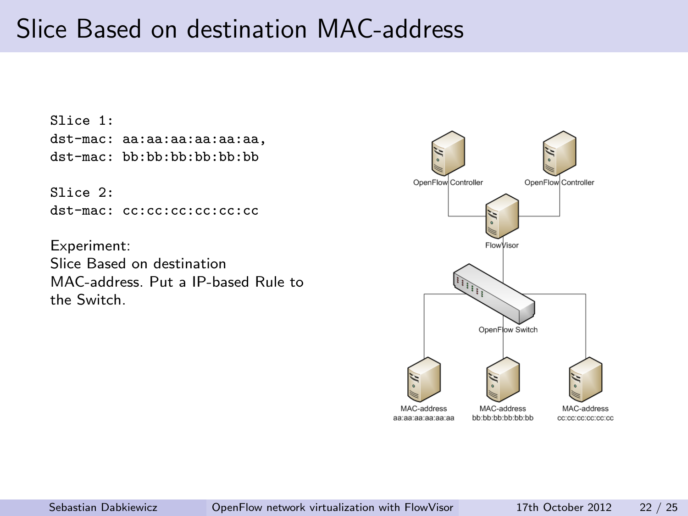# Slice Based on destination MAC-address

Slice 1: dst-mac: aa:aa:aa:aa:aa:aa, dst-mac: bb:bb:bb:bb:bb:bb

Slice 2:

dst-mac: cc:cc:cc:cc:cc:cc

Experiment: Slice Based on destination MAC-address. Put a IP-based Rule to the Switch.

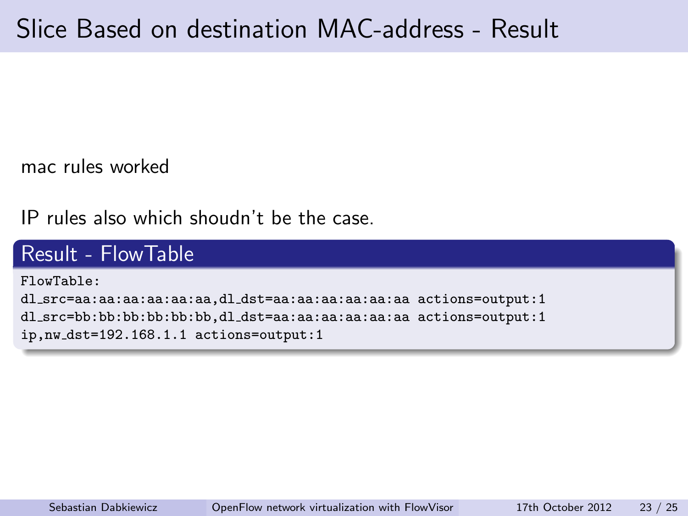mac rules worked

IP rules also which shoudn't be the case.

### Result - FlowTable

FlowTable: dl src=aa:aa:aa:aa:aa:aa,dl dst=aa:aa:aa:aa:aa:aa actions=output:1 dl src=bb:bb:bb:bb:bb:bb,dl dst=aa:aa:aa:aa:aa:aa actions=output:1 ip,nw dst=192.168.1.1 actions=output:1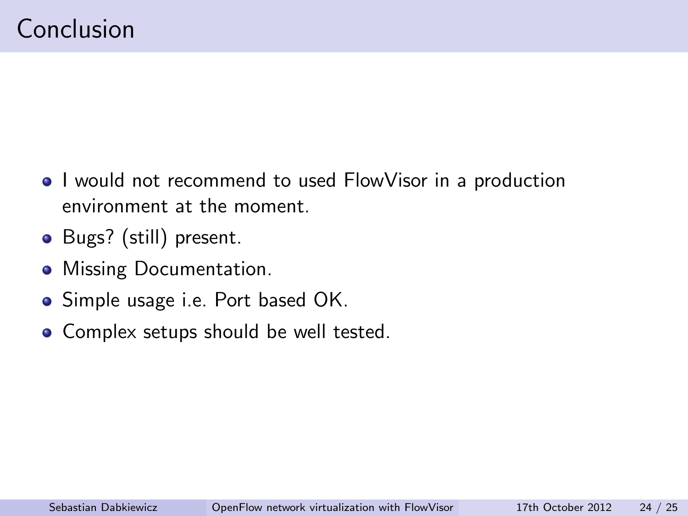- I would not recommend to used FlowVisor in a production environment at the moment.
- Bugs? (still) present.
- Missing Documentation.
- Simple usage i.e. Port based OK.
- <span id="page-23-0"></span>• Complex setups should be well tested.